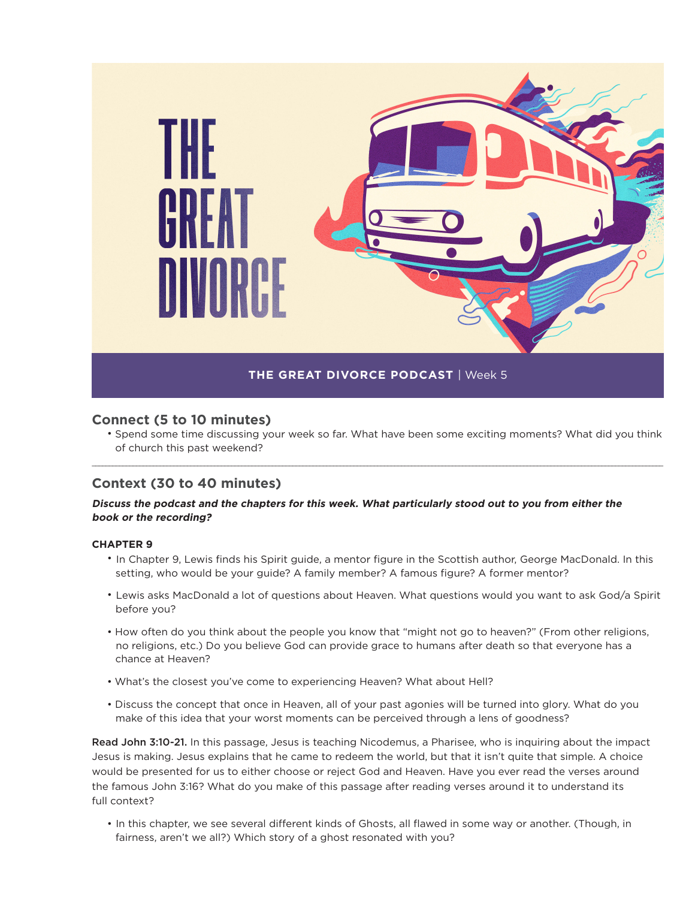

## **Connect (5 to 10 minutes)**

• Spend some time discussing your week so far. What have been some exciting moments? What did you think of church this past weekend?

\_\_\_\_\_\_\_\_\_\_\_\_\_\_\_\_\_\_\_\_\_\_\_\_\_\_\_\_\_\_\_\_\_\_\_\_\_\_\_\_\_\_\_\_\_\_\_\_\_\_\_\_\_\_\_\_\_\_\_\_\_\_\_\_\_\_\_\_\_\_\_\_\_\_\_\_\_\_\_\_\_\_\_\_\_\_\_\_\_\_\_\_\_\_\_\_\_\_\_\_\_\_\_\_\_\_\_\_\_\_\_\_\_\_\_\_\_\_\_\_\_\_\_\_\_\_\_\_\_\_\_\_\_\_\_\_\_\_\_\_\_\_\_\_\_\_\_\_\_\_\_\_\_\_\_\_\_\_\_\_\_\_\_\_\_\_\_\_

## **Context (30 to 40 minutes)**

#### **Discuss the podcast and the chapters for this week. What particularly stood out to you from either the book or the recording?**

#### **CHAPTER 9**

- In Chapter 9, Lewis finds his Spirit guide, a mentor figure in the Scottish author, George MacDonald. In this setting, who would be your guide? A family member? A famous figure? A former mentor?
- Lewis asks MacDonald a lot of questions about Heaven. What questions would you want to ask God/a Spirit before you?
- How often do you think about the people you know that "might not go to heaven?" (From other religions, no religions, etc.) Do you believe God can provide grace to humans after death so that everyone has a chance at Heaven?
- What's the closest you've come to experiencing Heaven? What about Hell?
- Discuss the concept that once in Heaven, all of your past agonies will be turned into glory. What do you make of this idea that your worst moments can be perceived through a lens of goodness?

Read John 3:10-21. In this passage, Jesus is teaching Nicodemus, a Pharisee, who is inquiring about the impact Jesus is making. Jesus explains that he came to redeem the world, but that it isn't quite that simple. A choice would be presented for us to either choose or reject God and Heaven. Have you ever read the verses around the famous John 3:16? What do you make of this passage after reading verses around it to understand its full context?

• In this chapter, we see several different kinds of Ghosts, all flawed in some way or another. (Though, in fairness, aren't we all?) Which story of a ghost resonated with you?